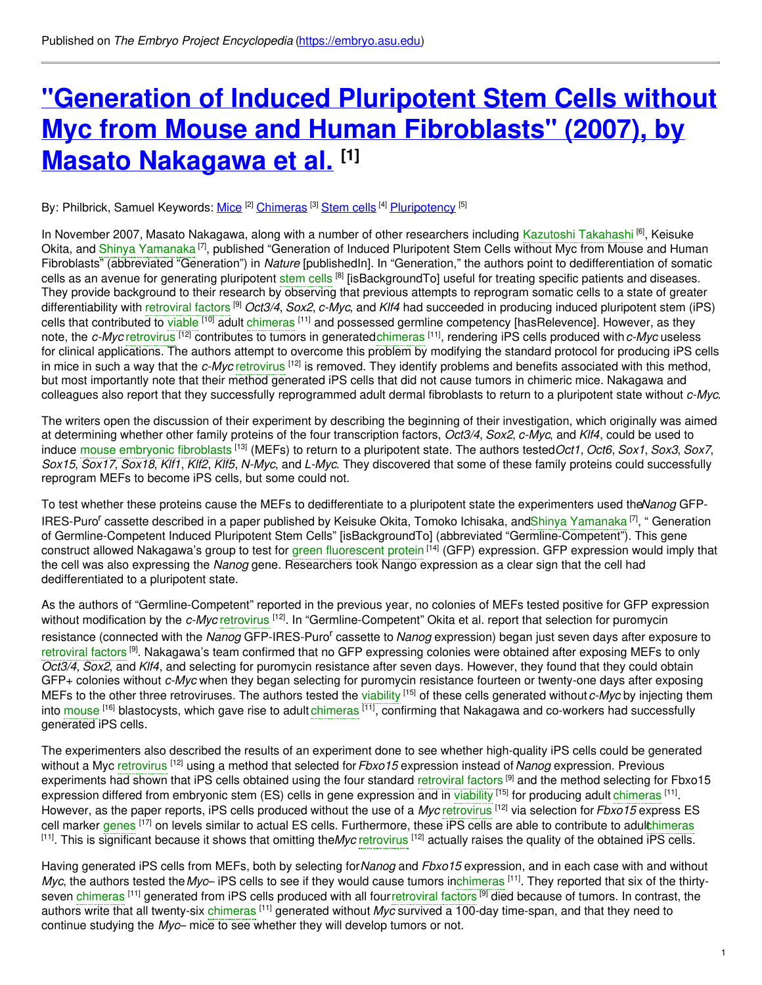# **"Generation of Induced Pluripotent Stem Cells without Myc from Mouse and Human [Fibroblasts"](https://embryo.asu.edu/pages/generation-induced-pluripotent-stem-cells-without-myc-mouse-and-human-fibroblasts-2007-masato) (2007), by Masato Nakagawa et al. [1]**

#### By: Philbrick, Samuel Keywords: <u>[Mice](https://embryo.asu.edu/keywords/mice) [2] [Chimeras](https://embryo.asu.edu/keywords/chimeras)</u> <sup>[3]</sup> [Stem](https://embryo.asu.edu/keywords/stem-cells) cells <sup>[4]</sup> [Pluripotency](https://embryo.asu.edu/keywords/pluripotency) <sup>[5]</sup>

In November 2007, Masato Nakagawa, along with a number of other researchers including Kazutoshi [Takahashi](https://embryo.asu.edu/search?text=Kazutoshi%20Takahashi) <sup>[6]</sup>, Keisuke Okita, and Shinya [Yamanaka](https://embryo.asu.edu/search?text=Shinya%20Yamanaka)<sup>[7]</sup>, published "Generation of Induced Pluripotent Stem Cells without Myc from Mouse and Human Fibroblasts" (abbreviated "Generation") in *Nature* [publishedIn]. In "Generation," the authors point to dedifferentiation of somatic cells as an avenue for generating pluripotent [stem](https://embryo.asu.edu/search?text=stem%20cells) cells <sup>[8]</sup> [isBackgroundTo] useful for treating specific patients and diseases. They provide background to their research by observing that previous attempts to reprogram somatic cells to a state of greater differentiability with [retroviral](https://embryo.asu.edu/search?text=retroviral%20factors) factors [9] *Oct3/4*, *Sox2*, *c-Myc*, and *Klf4* had succeeded in producing induced pluripotent stem (iPS) cells that contributed to [viable](https://embryo.asu.edu/search?text=viable) <sup>[10]</sup> adult [chimeras](https://embryo.asu.edu/search?text=chimeras) <sup>[11]</sup> and possessed germline competency [hasRelevence]. However, as they note, the *c-Myc* [retrovirus](https://embryo.asu.edu/search?text=retrovirus) <sup>[12]</sup> contributes to tumors in generate[dchimeras](https://embryo.asu.edu/search?text=chimeras) <sup>[11]</sup>, rendering iPS cells produced with *c-Myc* useless for clinical applications. The authors attempt to overcome this problem by modifying the standard protocol for producing iPS cells in mice in such a way that the *c-Myc* [retrovirus](https://embryo.asu.edu/search?text=retrovirus) <sup>[12]</sup> is removed. They identify problems and benefits associated with this method, but most importantly note that their method generated iPS cells that did not cause tumors in chimeric mice. Nakagawa and colleagues also report that they successfully reprogrammed adult dermal fibroblasts to return to a pluripotent state without *c-Myc*.

The writers open the discussion of their experiment by describing the beginning of their investigation, which originally was aimed at determining whether other family proteins of the four transcription factors, *Oct3/4*, *Sox2*, *c-Myc*, and *Klf4*, could be used to induce mouse [embryonic](https://embryo.asu.edu/search?text=mouse%20embryonic%20fibroblasts) fibroblasts [13] (MEFs) to return to a pluripotent state. The authors tested*Oct1*, *Oct6*, *Sox1*, *Sox3*, *Sox7*, *Sox15*, *Sox17*, *Sox18*, *Klf1*, *Klf2*, *Klf5*, *N-Myc*, and *L-Myc*. They discovered that some of these family proteins could successfully reprogram MEFs to become iPS cells, but some could not.

To test whether these proteins cause the MEFs to dedifferentiate to a pluripotent state the experimenters used the*Nanog* GFP-IRES-Puro<sup>r</sup> cassette described in a paper published by Keisuke Okita, Tomoko Ichisaka, andShinya [Yamanaka](https://embryo.asu.edu/search?text=Shinya%20Yamanaka)<sup>[7]</sup>, "Generation of Germline-Competent Induced Pluripotent Stem Cells" [isBackgroundTo] (abbreviated "Germline-Competent"). This gene construct allowed Nakagawa's group to test for green [fluorescent](https://embryo.asu.edu/search?text=green%20fluorescent%20protein) protein <sup>[14]</sup> (GFP) expression. GFP expression would imply that the cell was also expressing the *Nanog* gene. Researchers took Nango expression as a clear sign that the cell had dedifferentiated to a pluripotent state.

As the authors of "Germline-Competent" reported in the previous year, no colonies of MEFs tested positive for GFP expression without modification by the *c-Myc* [retrovirus](https://embryo.asu.edu/search?text=retrovirus) <sup>[12]</sup>. In "Germline-Competent" Okita et al. report that selection for puromycin resistance (connected with the Nanog GFP-IRES-Puro<sup>r</sup> cassette to Nanog expression) began just seven days after exposure to [retroviral](https://embryo.asu.edu/search?text=retroviral%20factors) factors <sup>[9]</sup>. Nakagawa's team confirmed that no GFP expressing colonies were obtained after exposing MEFs to only *Oct3/4*, *Sox2*, and *Klf4*, and selecting for puromycin resistance after seven days. However, they found that they could obtain GFP+ colonies without *c-Myc* when they began selecting for puromycin resistance fourteen or twenty-one days after exposing MEFs to the other three retroviruses. The authors tested the [viability](https://embryo.asu.edu/search?text=viability) [15] of these cells generated without*c-Myc* by injecting them into [mouse](https://embryo.asu.edu/search?text=mouse) <sup>[16]</sup> blastocysts, which gave rise to adult [chimeras](https://embryo.asu.edu/search?text=chimeras) <sup>[11]</sup>, confirming that Nakagawa and co-workers had successfully generated iPS cells.

The experimenters also described the results of an experiment done to see whether high-quality iPS cells could be generated without a Myc [retrovirus](https://embryo.asu.edu/search?text=retrovirus) [12] using a method that selected for*Fbxo15* expression instead of *Nanog* expression. Previous experiments had shown that iPS cells obtained using the four standard [retroviral](https://embryo.asu.edu/search?text=retroviral%20factors) factors <sup>[9]</sup> and the method selecting for Fbxo15 expression differed from embryonic stem (ES) cells in gene expression and in [viability](https://embryo.asu.edu/search?text=viability) <sup>[15]</sup> for producing adult [chimeras](https://embryo.asu.edu/search?text=chimeras) <sup>[11]</sup>. However, as the paper reports, iPS cells produced without the use of a *Myc* [retrovirus](https://embryo.asu.edu/search?text=retrovirus) [12] via selection for *Fbxo15* express ES cell marker [genes](https://embryo.asu.edu/search?text=genes) <sup>[17]</sup> on levels similar to actual ES cells. Furthermore, these iPS cells are able to contribute to adulc[himeras](https://embryo.asu.edu/search?text=chimeras) [11] . This is significant because it shows that omitting the*Myc* [retrovirus](https://embryo.asu.edu/search?text=retrovirus) [12] actually raises the quality of the obtained iPS cells.

Having generated iPS cells from MEFs, both by selecting for*Nanog* and *Fbxo15* expression, and in each case with and without *Myc*, the authors tested the*Myc*– iPS cells to see if they would cause tumors in[chimeras](https://embryo.asu.edu/search?text=chimeras) [11] . They reported that six of the thirtyseven [chimeras](https://embryo.asu.edu/search?text=chimeras) <sup>[11]</sup> generated from iPS cells produced with all fou[rretroviral](https://embryo.asu.edu/search?text=retroviral%20factors) factors <sup>[9]</sup> died because of tumors. In contrast, the authors write that all twenty-six [chimeras](https://embryo.asu.edu/search?text=chimeras) <sup>[11]</sup> generated without *Myc* survived a 100-day time-span, and that they need to continue studying the *Myc*– mice to see whether they will develop tumors or not.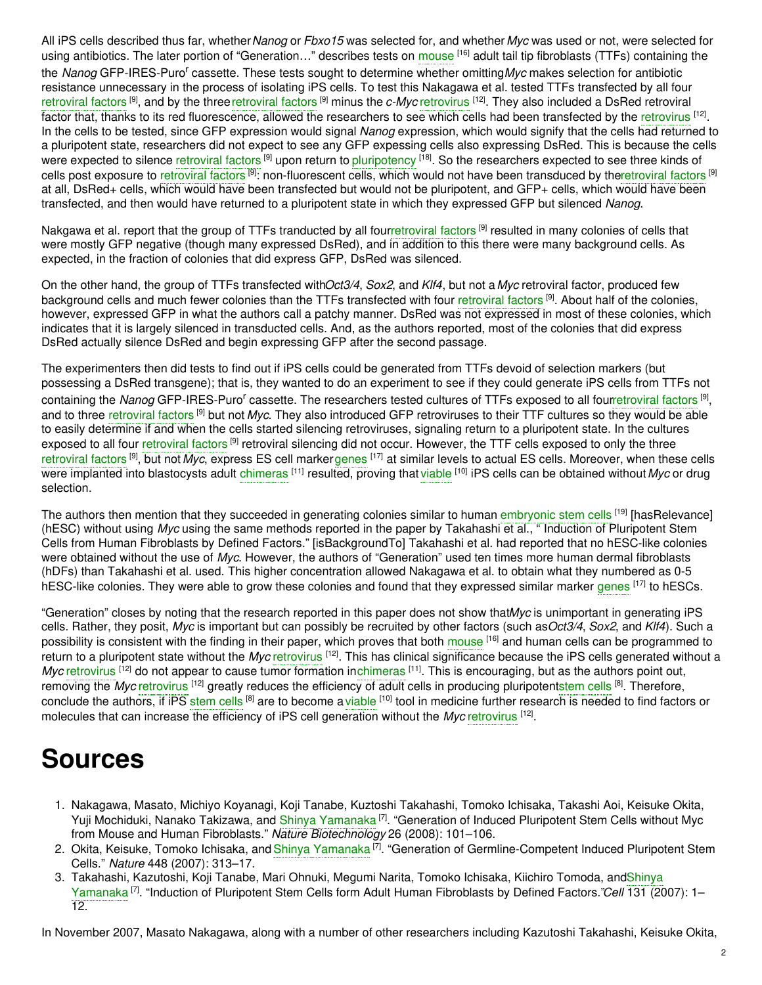All iPS cells described thus far, whether*Nanog* or *Fbxo15* was selected for, and whether *Myc* was used or not, were selected for using antibiotics. The later portion of "Generation..." describes tests on [mouse](https://embryo.asu.edu/search?text=mouse) <sup>[16]</sup> adult tail tip fibroblasts (TTFs) containing the the Nanog GFP-IRES-Puro<sup>r</sup> cassette. These tests sought to determine whether omittingMyc makes selection for antibiotic resistance unnecessary in the process of isolating iPS cells. To test this Nakagawa et al. tested TTFs transfected by all four [retroviral](https://embryo.asu.edu/search?text=retroviral%20factors) factors <sup>[9]</sup>, and by the three retroviral factors <sup>[9]</sup> minus the *c-Myc* [retrovirus](https://embryo.asu.edu/search?text=retrovirus) <sup>[12]</sup>. They also included a DsRed retroviral factor that, thanks to its red fluorescence, allowed the researchers to see which cells had been transfected by the [retrovirus](https://embryo.asu.edu/search?text=retrovirus) <sup>[12]</sup>. In the cells to be tested, since GFP expression would signal *Nanog* expression, which would signify that the cells had returned to a pluripotent state, researchers did not expect to see any GFP expessing cells also expressing DsRed. This is because the cells were expected to silence [retroviral](https://embryo.asu.edu/search?text=retroviral%20factors) factors <sup>[9]</sup> upon return to [pluripotency](https://embryo.asu.edu/search?text=pluripotency) <sup>[18]</sup>. So the researchers expected to see three kinds of cells post exposure to [retroviral](https://embryo.asu.edu/search?text=retroviral%20factors) factors <sup>[9]</sup>: non-fluorescent cells, which would not have been transduced by th[eretroviral](https://embryo.asu.edu/search?text=retroviral%20factors) factors <sup>[9]</sup> at all, DsRed+ cells, which would have been transfected but would not be pluripotent, and GFP+ cells, which would have been transfected, and then would have returned to a pluripotent state in which they expressed GFP but silenced *Nanog*.

Nakgawa et al. report that the group of TTFs tranducted by all fou[rretroviral](https://embryo.asu.edu/search?text=retroviral%20factors) factors [9] resulted in many colonies of cells that were mostly GFP negative (though many expressed DsRed), and in addition to this there were many background cells. As expected, in the fraction of colonies that did express GFP, DsRed was silenced.

On the other hand, the group of TTFs transfected with*Oct3/4*, *Sox2*, and *Klf4*, but not a*Myc* retroviral factor, produced few background cells and much fewer colonies than the TTFs transfected with four [retroviral](https://embryo.asu.edu/search?text=retroviral%20factors) factors<sup>[9]</sup>. About half of the colonies, however, expressed GFP in what the authors call a patchy manner. DsRed was not expressed in most of these colonies, which indicates that it is largely silenced in transducted cells. And, as the authors reported, most of the colonies that did express DsRed actually silence DsRed and begin expressing GFP after the second passage.

The experimenters then did tests to find out if iPS cells could be generated from TTFs devoid of selection markers (but possessing a DsRed transgene); that is, they wanted to do an experiment to see if they could generate iPS cells from TTFs not containing the Nanog GFP-IRES-Puro<sup>r</sup> cassette. The researchers tested cultures of TTFs exposed to all fou[rretroviral](https://embryo.asu.edu/search?text=retroviral%20factors) factors<sup>[9]</sup>, and to three [retroviral](https://embryo.asu.edu/search?text=retroviral%20factors) factors [9] but not *Myc*. They also introduced GFP retroviruses to their TTF cultures so they would be able to easily determine if and when the cells started silencing retroviruses, signaling return to a pluripotent state. In the cultures exposed to all four [retroviral](https://embryo.asu.edu/search?text=retroviral%20factors) factors<sup>[9]</sup> retroviral silencing did not occur. However, the TTF cells exposed to only the three [retroviral](https://embryo.asu.edu/search?text=retroviral%20factors) factors <sup>[9]</sup>, but not *Myc*, express ES cell marke[rgenes](https://embryo.asu.edu/search?text=genes) <sup>[17]</sup> at similar levels to actual ES cells. Moreover, when these cells were implanted into blastocysts adult [chimeras](https://embryo.asu.edu/search?text=chimeras) <sup>[11]</sup> resulted, proving that [viable](https://embryo.asu.edu/search?text=viable) <sup>[10]</sup> iPS cells can be obtained without Myc or drug selection.

The authors then mention that they succeeded in generating colonies similar to human [embryonic](https://embryo.asu.edu/search?text=embryonic%20stem%20cells) stem cells <sup>[19]</sup> [hasRelevance] (hESC) without using *Myc* using the same methods reported in the paper by Takahashi et al., " Induction of Pluripotent Stem Cells from Human Fibroblasts by Defined Factors." [isBackgroundTo] Takahashi et al. had reported that no hESC-like colonies were obtained without the use of *Myc*. However, the authors of "Generation" used ten times more human dermal fibroblasts (hDFs) than Takahashi et al. used. This higher concentration allowed Nakagawa et al. to obtain what they numbered as 0-5 hESC-like colonies. They were able to grow these colonies and found that they expressed similar marker [genes](https://embryo.asu.edu/search?text=genes) [17] to hESCs.

"Generation" closes by noting that the research reported in this paper does not show that*Myc* is unimportant in generating iPS cells. Rather, they posit, *Myc* is important but can possibly be recruited by other factors (such as*Oct3/4*, *Sox2*, and *Klf4*). Such a possibility is consistent with the finding in their paper, which proves that both [mouse](https://embryo.asu.edu/search?text=mouse) <sup>[16]</sup> and human cells can be programmed to return to a pluripotent state without the *Myc* [retrovirus](https://embryo.asu.edu/search?text=retrovirus) <sup>[12]</sup>. This has clinical significance because the iPS cells generated without a Myc [retrovirus](https://embryo.asu.edu/search?text=retrovirus) <sup>[12]</sup> do not appear to cause tumor formation i[nchimeras](https://embryo.asu.edu/search?text=chimeras) <sup>[11]</sup>. This is encouraging, but as the authors point out, removing the Myc [retrovirus](https://embryo.asu.edu/search?text=retrovirus) <sup>[12]</sup> greatly reduces the efficiency of adult cells in producing pluripoten[tstem](https://embryo.asu.edu/search?text=stem%20cells) cells <sup>[8]</sup>. Therefore, conclude the authors, if iPS [stem](https://embryo.asu.edu/search?text=stem%20cells) cells <sup>[8]</sup> are to become a [viable](https://embryo.asu.edu/search?text=viable) <sup>[10]</sup> tool in medicine further research is needed to find factors or molecules that can increase the efficiency of iPS cell generation without the *Myc* [retrovirus](https://embryo.asu.edu/search?text=retrovirus) <sup>[12]</sup>.

# **Sources**

- 1. Nakagawa, Masato, Michiyo Koyanagi, Koji Tanabe, Kuztoshi Takahashi, Tomoko Ichisaka, Takashi Aoi, Keisuke Okita, Yuji Mochiduki, Nanako Takizawa, and Shinya [Yamanaka](https://embryo.asu.edu/search?text=Shinya%20Yamanaka)<sup>[7]</sup>. "Generation of Induced Pluripotent Stem Cells without Myc from Mouse and Human Fibroblasts." *Nature Biotechnology* 26 (2008): 101–106.
- 2. Okita, Keisuke, Tomoko Ichisaka, and Shinya [Yamanaka](https://embryo.asu.edu/search?text=Shinya%20Yamanaka) <sup>[7]</sup>. "Generation of Germline-Competent Induced Pluripotent Stem Cells." *Nature* 448 (2007): 313–17.
- 3. [Takahashi,](https://embryo.asu.edu/search?text=Shinya%20Yamanaka) Kazutoshi, Koji Tanabe, Mari Ohnuki, Megumi Narita, Tomoko Ichisaka, Kiichiro Tomoda, andShinya Yamanaka<sup>[7]</sup>. "Induction of Pluripotent Stem Cells form Adult Human Fibroblasts by Defined Factors."Cell 131 (2007): 1– 12.

In November 2007, Masato Nakagawa, along with a number of other researchers including Kazutoshi Takahashi, Keisuke Okita,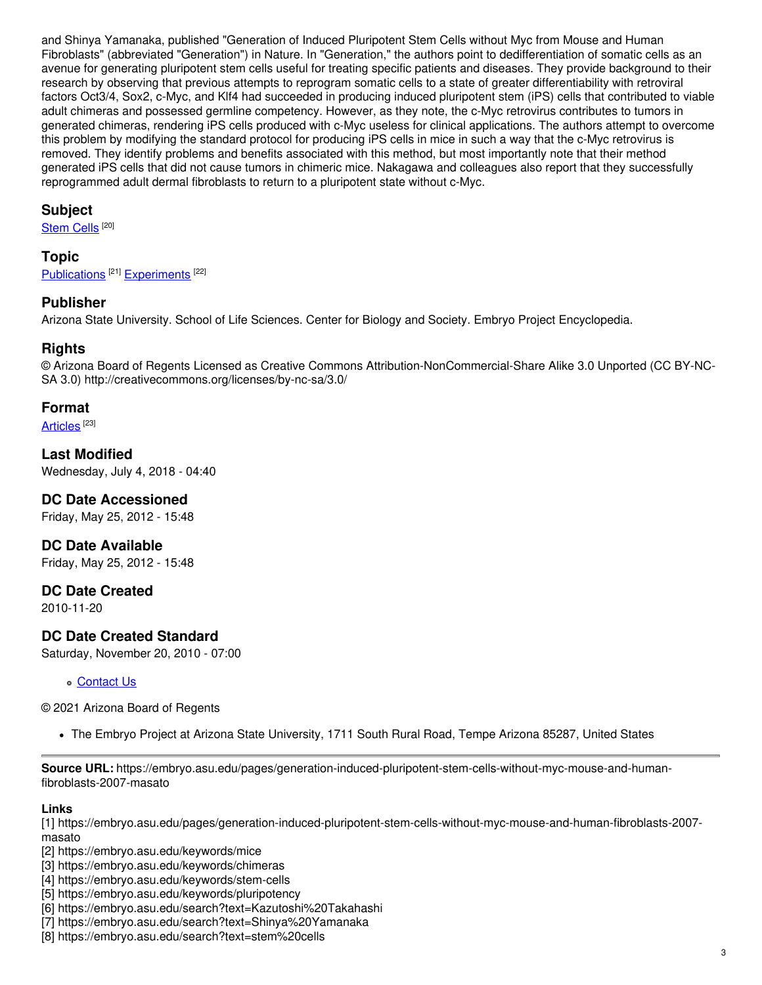and Shinya Yamanaka, published "Generation of Induced Pluripotent Stem Cells without Myc from Mouse and Human Fibroblasts" (abbreviated "Generation") in Nature. In "Generation," the authors point to dedifferentiation of somatic cells as an avenue for generating pluripotent stem cells useful for treating specific patients and diseases. They provide background to their research by observing that previous attempts to reprogram somatic cells to a state of greater differentiability with retroviral factors Oct3/4, Sox2, c-Myc, and Klf4 had succeeded in producing induced pluripotent stem (iPS) cells that contributed to viable adult chimeras and possessed germline competency. However, as they note, the c-Myc retrovirus contributes to tumors in generated chimeras, rendering iPS cells produced with c-Myc useless for clinical applications. The authors attempt to overcome this problem by modifying the standard protocol for producing iPS cells in mice in such a way that the c-Myc retrovirus is removed. They identify problems and benefits associated with this method, but most importantly note that their method generated iPS cells that did not cause tumors in chimeric mice. Nakagawa and colleagues also report that they successfully reprogrammed adult dermal fibroblasts to return to a pluripotent state without c-Myc.

### **Subject**

<u>[Stem](https://embryo.asu.edu/medical-subject-headings/stem-cells) Cells</u>  $^{[20]}$ 

# **Topic**

[Publications](https://embryo.asu.edu/topics/publications)<sup>[21]</sup> [Experiments](https://embryo.asu.edu/topics/experiments)<sup>[22]</sup>

# **Publisher**

Arizona State University. School of Life Sciences. Center for Biology and Society. Embryo Project Encyclopedia.

#### **Rights**

© Arizona Board of Regents Licensed as Creative Commons Attribution-NonCommercial-Share Alike 3.0 Unported (CC BY-NC-SA 3.0) http://creativecommons.org/licenses/by-nc-sa/3.0/

#### **Format**

<u>[Articles](https://embryo.asu.edu/formats/articles)</u>  $^{[23]}$ 

**Last Modified** Wednesday, July 4, 2018 - 04:40

#### **DC Date Accessioned**

Friday, May 25, 2012 - 15:48

**DC Date Available** Friday, May 25, 2012 - 15:48

#### **DC Date Created**

2010-11-20

#### **DC Date Created Standard**

Saturday, November 20, 2010 - 07:00

**[Contact](https://embryo.asu.edu/contact) Us** 

© 2021 Arizona Board of Regents

The Embryo Project at Arizona State University, 1711 South Rural Road, Tempe Arizona 85287, United States

**Source URL:** https://embryo.asu.edu/pages/generation-induced-pluripotent-stem-cells-without-myc-mouse-and-humanfibroblasts-2007-masato

#### **Links**

[1] https://embryo.asu.edu/pages/generation-induced-pluripotent-stem-cells-without-myc-mouse-and-human-fibroblasts-2007 masato

[2] https://embryo.asu.edu/keywords/mice

- [3] https://embryo.asu.edu/keywords/chimeras
- [4] https://embryo.asu.edu/keywords/stem-cells
- [5] https://embryo.asu.edu/keywords/pluripotency
- [6] https://embryo.asu.edu/search?text=Kazutoshi%20Takahashi
- [7] https://embryo.asu.edu/search?text=Shinya%20Yamanaka
- [8] https://embryo.asu.edu/search?text=stem%20cells